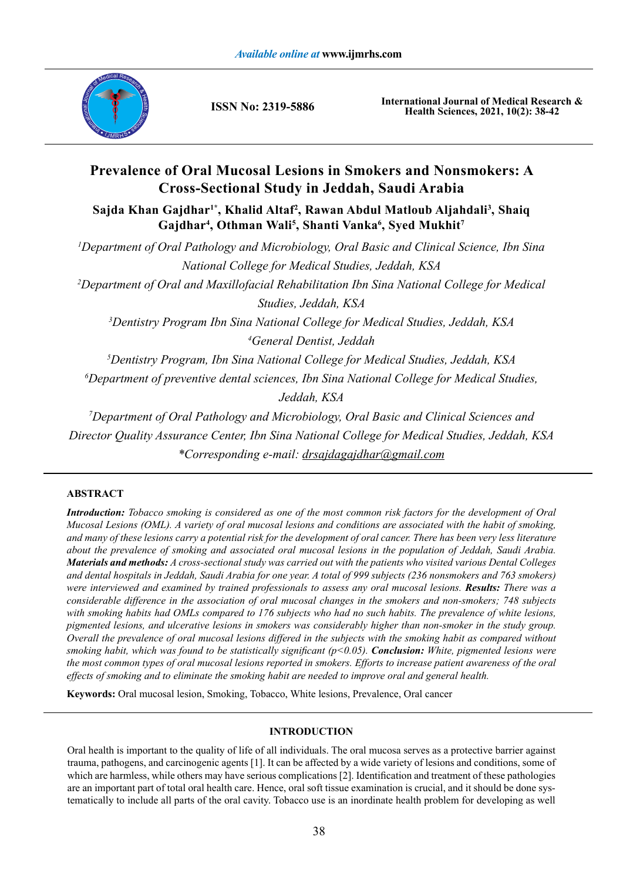

**ISSN No: 2319-5886**

**International Journal of Medical Research & Health Sciences, 2021, 10(2): 38-42**

# **Prevalence of Oral Mucosal Lesions in Smokers and Nonsmokers: A Cross-Sectional Study in Jeddah, Saudi Arabia**

**Sajda Khan Gajdhar1\*, Khalid Altaf2 , Rawan Abdul Matloub Aljahdali3 , Shaiq Gajdhar4 , Othman Wali5 , Shanti Vanka6 , Syed Mukhit7**

 *Department of Oral Pathology and Microbiology, Oral Basic and Clinical Science, Ibn Sina National College for Medical Studies, Jeddah, KSA Department of Oral and Maxillofacial Rehabilitation Ibn Sina National College for Medical Studies, Jeddah, KSA Dentistry Program Ibn Sina National College for Medical Studies, Jeddah, KSA General Dentist, Jeddah Dentistry Program, Ibn Sina National College for Medical Studies, Jeddah, KSA Department of preventive dental sciences, Ibn Sina National College for Medical Studies, Jeddah, KSA Department of Oral Pathology and Microbiology, Oral Basic and Clinical Sciences and* 

*Director Quality Assurance Center, Ibn Sina National College for Medical Studies, Jeddah, KSA \*Corresponding e-mail: drsajdagajdhar@gmail.com*

# **ABSTRACT**

*Introduction: Tobacco smoking is considered as one of the most common risk factors for the development of Oral Mucosal Lesions (OML). A variety of oral mucosal lesions and conditions are associated with the habit of smoking, and many of these lesions carry a potential risk for the development of oral cancer. There has been very less literature about the prevalence of smoking and associated oral mucosal lesions in the population of Jeddah, Saudi Arabia. Materials and methods: A cross-sectional study was carried out with the patients who visited various Dental Colleges and dental hospitals in Jeddah, Saudi Arabia for one year. A total of 999 subjects (236 nonsmokers and 763 smokers) were interviewed and examined by trained professionals to assess any oral mucosal lesions. Results: There was a considerable difference in the association of oral mucosal changes in the smokers and non-smokers; 748 subjects*  with smoking habits had OMLs compared to 176 subjects who had no such habits. The prevalence of white lesions, *pigmented lesions, and ulcerative lesions in smokers was considerably higher than non-smoker in the study group. Overall the prevalence of oral mucosal lesions differed in the subjects with the smoking habit as compared without smoking habit, which was found to be statistically significant (p<0.05). Conclusion: White, pigmented lesions were the most common types of oral mucosal lesions reported in smokers. Efforts to increase patient awareness of the oral effects of smoking and to eliminate the smoking habit are needed to improve oral and general health.* 

**Keywords:** Oral mucosal lesion, Smoking, Tobacco, White lesions, Prevalence, Oral cancer

## **INTRODUCTION**

Oral health is important to the quality of life of all individuals. The oral mucosa serves as a protective barrier against trauma, pathogens, and carcinogenic agents [1]. It can be affected by a wide variety of lesions and conditions, some of which are harmless, while others may have serious complications [2]. Identification and treatment of these pathologies are an important part of total oral health care. Hence, oral soft tissue examination is crucial, and it should be done systematically to include all parts of the oral cavity. Tobacco use is an inordinate health problem for developing as well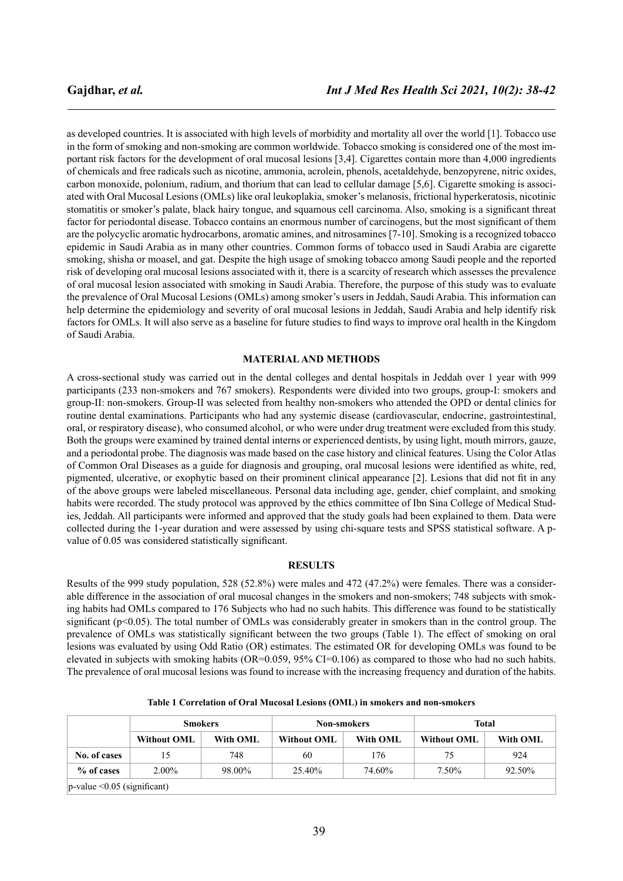as developed countries. It is associated with high levels of morbidity and mortality all over the world [1]. Tobacco use in the form of smoking and non-smoking are common worldwide. Tobacco smoking is considered one of the most important risk factors for the development of oral mucosal lesions [3,4]. Cigarettes contain more than 4,000 ingredients of chemicals and free radicals such as nicotine, ammonia, acrolein, phenols, acetaldehyde, benzopyrene, nitric oxides, carbon monoxide, polonium, radium, and thorium that can lead to cellular damage [5,6]. Cigarette smoking is associated with Oral Mucosal Lesions (OMLs) like oral leukoplakia, smoker's melanosis, frictional hyperkeratosis, nicotinic stomatitis or smoker's palate, black hairy tongue, and squamous cell carcinoma. Also, smoking is a significant threat factor for periodontal disease. Tobacco contains an enormous number of carcinogens, but the most significant of them are the polycyclic aromatic hydrocarbons, aromatic amines, and nitrosamines [7-10]. Smoking is a recognized tobacco epidemic in Saudi Arabia as in many other countries. Common forms of tobacco used in Saudi Arabia are cigarette smoking, shisha or moasel, and gat. Despite the high usage of smoking tobacco among Saudi people and the reported risk of developing oral mucosal lesions associated with it, there is a scarcity of research which assesses the prevalence of oral mucosal lesion associated with smoking in Saudi Arabia. Therefore, the purpose of this study was to evaluate the prevalence of Oral Mucosal Lesions (OMLs) among smoker's users in Jeddah, Saudi Arabia. This information can help determine the epidemiology and severity of oral mucosal lesions in Jeddah, Saudi Arabia and help identify risk factors for OMLs. It will also serve as a baseline for future studies to find ways to improve oral health in the Kingdom of Saudi Arabia.

#### **MATERIAL AND METHODS**

A cross-sectional study was carried out in the dental colleges and dental hospitals in Jeddah over 1 year with 999 participants (233 non-smokers and 767 smokers). Respondents were divided into two groups, group-I: smokers and group-II: non-smokers. Group-II was selected from healthy non-smokers who attended the OPD or dental clinics for routine dental examinations. Participants who had any systemic disease (cardiovascular, endocrine, gastrointestinal, oral, or respiratory disease), who consumed alcohol, or who were under drug treatment were excluded from this study. Both the groups were examined by trained dental interns or experienced dentists, by using light, mouth mirrors, gauze, and a periodontal probe. The diagnosis was made based on the case history and clinical features. Using the Color Atlas of Common Oral Diseases as a guide for diagnosis and grouping, oral mucosal lesions were identified as white, red, pigmented, ulcerative, or exophytic based on their prominent clinical appearance [2]. Lesions that did not fit in any of the above groups were labeled miscellaneous. Personal data including age, gender, chief complaint, and smoking habits were recorded. The study protocol was approved by the ethics committee of Ibn Sina College of Medical Studies, Jeddah. All participants were informed and approved that the study goals had been explained to them. Data were collected during the 1-year duration and were assessed by using chi-square tests and SPSS statistical software. A pvalue of 0.05 was considered statistically significant.

#### **RESULTS**

Results of the 999 study population, 528 (52.8%) were males and 472 (47.2%) were females. There was a considerable difference in the association of oral mucosal changes in the smokers and non-smokers; 748 subjects with smoking habits had OMLs compared to 176 Subjects who had no such habits. This difference was found to be statistically significant (p<0.05). The total number of OMLs was considerably greater in smokers than in the control group. The prevalence of OMLs was statistically significant between the two groups (Table 1). The effect of smoking on oral lesions was evaluated by using Odd Ratio (OR) estimates. The estimated OR for developing OMLs was found to be elevated in subjects with smoking habits (OR=0.059, 95% CI=0.106) as compared to those who had no such habits. The prevalence of oral mucosal lesions was found to increase with the increasing frequency and duration of the habits.

|                                  | <b>Smokers</b>     |          | <b>Non-smokers</b> |          | Total              |          |
|----------------------------------|--------------------|----------|--------------------|----------|--------------------|----------|
|                                  | <b>Without OML</b> | With OML | Without OML        | With OML | <b>Without OML</b> | With OML |
| No. of cases                     | 15                 | 748      | 60                 | 176      | 75                 | 924      |
| % of cases                       | $2.00\%$           | 98.00%   | 25.40%             | 74.60%   | 7.50%              | 92.50%   |
| $ p$ -value < 0.05 (significant) |                    |          |                    |          |                    |          |

**Table 1 Correlation of Oral Mucosal Lesions (OML) in smokers and non-smokers**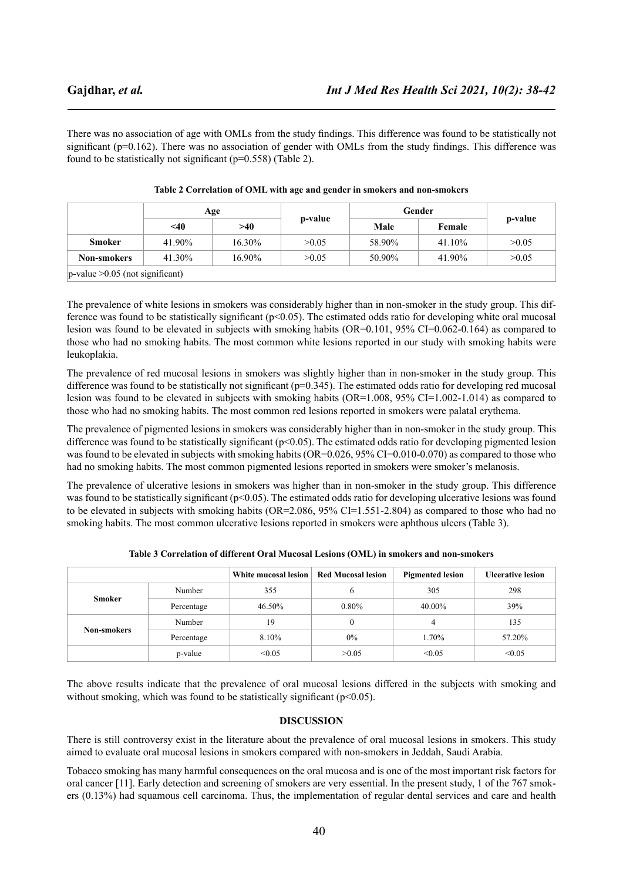There was no association of age with OMLs from the study findings. This difference was found to be statistically not significant (p=0.162). There was no association of gender with OMLs from the study findings. This difference was found to be statistically not significant (p=0.558) (Table 2).

|                                    | Age    |        |         | Gender |           |         |
|------------------------------------|--------|--------|---------|--------|-----------|---------|
|                                    | $<$ 40 | >40    | p-value | Male   | Female    | p-value |
| Smoker                             | 41.90% | 16.30% | >0.05   | 58.90% | $41.10\%$ | >0.05   |
| <b>Non-smokers</b>                 | 41.30% | 16.90% | >0.05   | 50.90% | 41.90%    | >0.05   |
| $ p-value >0.05$ (not significant) |        |        |         |        |           |         |

| Table 2 Correlation of OML with age and gender in smokers and non-smokers |  |
|---------------------------------------------------------------------------|--|
|---------------------------------------------------------------------------|--|

The prevalence of white lesions in smokers was considerably higher than in non-smoker in the study group. This difference was found to be statistically significant ( $p<0.05$ ). The estimated odds ratio for developing white oral mucosal lesion was found to be elevated in subjects with smoking habits (OR=0.101, 95% CI=0.062-0.164) as compared to those who had no smoking habits. The most common white lesions reported in our study with smoking habits were leukoplakia.

The prevalence of red mucosal lesions in smokers was slightly higher than in non-smoker in the study group. This difference was found to be statistically not significant  $(p=0.345)$ . The estimated odds ratio for developing red mucosal lesion was found to be elevated in subjects with smoking habits (OR=1.008, 95% CI=1.002-1.014) as compared to those who had no smoking habits. The most common red lesions reported in smokers were palatal erythema.

The prevalence of pigmented lesions in smokers was considerably higher than in non-smoker in the study group. This difference was found to be statistically significant  $(p<0.05)$ . The estimated odds ratio for developing pigmented lesion was found to be elevated in subjects with smoking habits (OR=0.026, 95% CI=0.010-0.070) as compared to those who had no smoking habits. The most common pigmented lesions reported in smokers were smoker's melanosis.

The prevalence of ulcerative lesions in smokers was higher than in non-smoker in the study group. This difference was found to be statistically significant (p<0.05). The estimated odds ratio for developing ulcerative lesions was found to be elevated in subjects with smoking habits (OR=2.086, 95% CI=1.551-2.804) as compared to those who had no smoking habits. The most common ulcerative lesions reported in smokers were aphthous ulcers (Table 3).

|                    |            | White mucosal lesion Red Mucosal lesion |          | <b>Pigmented lesion</b> | <b>Ulcerative lesion</b> |
|--------------------|------------|-----------------------------------------|----------|-------------------------|--------------------------|
| Smoker             | Number     | 355                                     |          | 305                     | 298                      |
|                    | Percentage | 46.50%                                  | $0.80\%$ | 40.00%                  | 39%                      |
| <b>Non-smokers</b> | Number     | 19                                      |          | 4                       | 135                      |
|                    | Percentage | 8.10%                                   | $0\%$    | 1.70%                   | 57.20%                   |
|                    | p-value    | < 0.05                                  | >0.05    | < 0.05                  | < 0.05                   |

**Table 3 Correlation of different Oral Mucosal Lesions (OML) in smokers and non-smokers**

The above results indicate that the prevalence of oral mucosal lesions differed in the subjects with smoking and without smoking, which was found to be statistically significant ( $p<0.05$ ).

## **DISCUSSION**

There is still controversy exist in the literature about the prevalence of oral mucosal lesions in smokers. This study aimed to evaluate oral mucosal lesions in smokers compared with non-smokers in Jeddah, Saudi Arabia.

Tobacco smoking has many harmful consequences on the oral mucosa and is one of the most important risk factors for oral cancer [11]. Early detection and screening of smokers are very essential. In the present study, 1 of the 767 smokers (0.13%) had squamous cell carcinoma. Thus, the implementation of regular dental services and care and health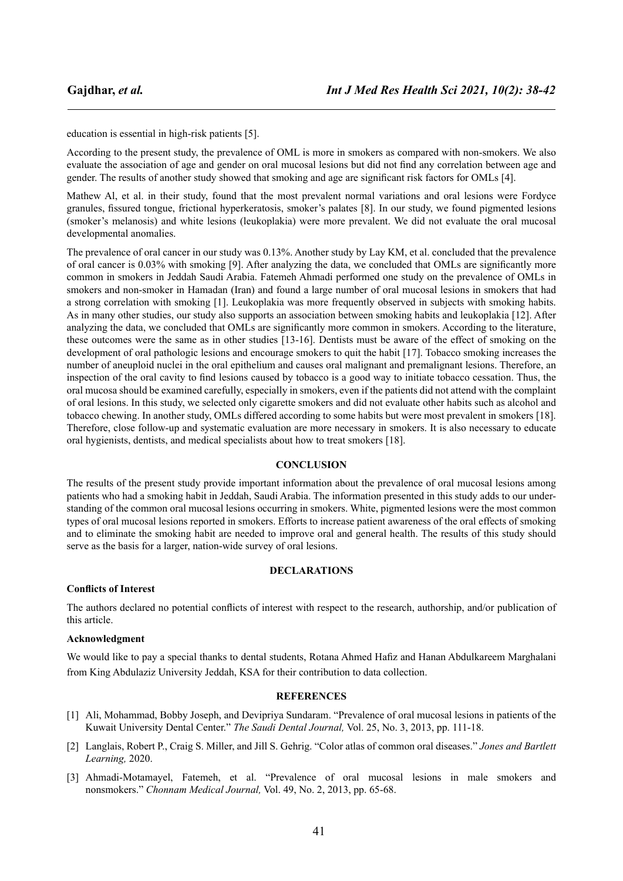education is essential in high-risk patients [5].

According to the present study, the prevalence of OML is more in smokers as compared with non-smokers. We also evaluate the association of age and gender on oral mucosal lesions but did not find any correlation between age and gender. The results of another study showed that smoking and age are significant risk factors for OMLs [4].

Mathew Al, et al. in their study, found that the most prevalent normal variations and oral lesions were Fordyce granules, fissured tongue, frictional hyperkeratosis, smoker's palates [8]. In our study, we found pigmented lesions (smoker's melanosis) and white lesions (leukoplakia) were more prevalent. We did not evaluate the oral mucosal developmental anomalies.

The prevalence of oral cancer in our study was 0.13%. Another study by Lay KM, et al. concluded that the prevalence of oral cancer is 0.03% with smoking [9]. After analyzing the data, we concluded that OMLs are significantly more common in smokers in Jeddah Saudi Arabia. Fatemeh Ahmadi performed one study on the prevalence of OMLs in smokers and non-smoker in Hamadan (Iran) and found a large number of oral mucosal lesions in smokers that had a strong correlation with smoking [1]. Leukoplakia was more frequently observed in subjects with smoking habits. As in many other studies, our study also supports an association between smoking habits and leukoplakia [12]. After analyzing the data, we concluded that OMLs are significantly more common in smokers. According to the literature, these outcomes were the same as in other studies [13-16]. Dentists must be aware of the effect of smoking on the development of oral pathologic lesions and encourage smokers to quit the habit [17]. Tobacco smoking increases the number of aneuploid nuclei in the oral epithelium and causes oral malignant and premalignant lesions. Therefore, an inspection of the oral cavity to find lesions caused by tobacco is a good way to initiate tobacco cessation. Thus, the oral mucosa should be examined carefully, especially in smokers, even if the patients did not attend with the complaint of oral lesions. In this study, we selected only cigarette smokers and did not evaluate other habits such as alcohol and tobacco chewing. In another study, OMLs differed according to some habits but were most prevalent in smokers [18]. Therefore, close follow-up and systematic evaluation are more necessary in smokers. It is also necessary to educate oral hygienists, dentists, and medical specialists about how to treat smokers [18].

#### **CONCLUSION**

The results of the present study provide important information about the prevalence of oral mucosal lesions among patients who had a smoking habit in Jeddah, Saudi Arabia. The information presented in this study adds to our understanding of the common oral mucosal lesions occurring in smokers. White, pigmented lesions were the most common types of oral mucosal lesions reported in smokers. Efforts to increase patient awareness of the oral effects of smoking and to eliminate the smoking habit are needed to improve oral and general health. The results of this study should serve as the basis for a larger, nation-wide survey of oral lesions.

## **DECLARATIONS**

#### **Conflicts of Interest**

The authors declared no potential conflicts of interest with respect to the research, authorship, and/or publication of this article.

#### **Acknowledgment**

We would like to pay a special thanks to dental students, Rotana Ahmed Hafiz and Hanan Abdulkareem Marghalani from King Abdulaziz University Jeddah, KSA for their contribution to data collection.

## **REFERENCES**

- [1] Ali, Mohammad, Bobby Joseph, and Devipriya Sundaram. "Prevalence of oral mucosal lesions in patients of the Kuwait University Dental Center." *The Saudi Dental Journal,* Vol. 25, No. 3, 2013, pp. 111-18.
- [2] Langlais, Robert P., Craig S. Miller, and Jill S. Gehrig. "Color atlas of common oral diseases." *Jones and Bartlett Learning,* 2020.
- [3] Ahmadi-Motamayel, Fatemeh, et al. "Prevalence of oral mucosal lesions in male smokers and nonsmokers." *Chonnam Medical Journal,* Vol. 49, No. 2, 2013, pp. 65-68.